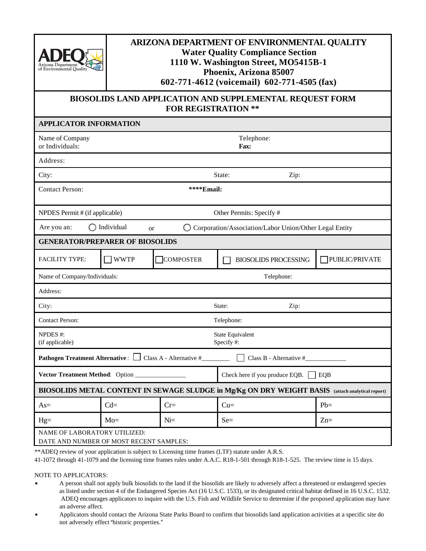

## **ARIZONA DEPARTMENT OF ENVIRONMENTAL QUALITY Water Quality Compliance Section 1110 W. Washington Street, MO5415B-1 Phoenix, Arizona 85007 602-771-4612 (voicemail) 602-771-4505 (fax)**

## **BIOSOLIDS LAND APPLICATION AND SUPPLEMENTAL REQUEST FORM FOR REGISTRATION \*\***

| <b>APPLICATOR INFORMATION</b>                                                                               |             |                  |                                       |       |                |  |  |  |
|-------------------------------------------------------------------------------------------------------------|-------------|------------------|---------------------------------------|-------|----------------|--|--|--|
| Name of Company<br>or Individuals:                                                                          |             |                  | Telephone:<br>Fax:                    |       |                |  |  |  |
| Address:                                                                                                    |             |                  |                                       |       |                |  |  |  |
| City:                                                                                                       |             |                  | State:                                | Zip:  |                |  |  |  |
| <b>Contact Person:</b><br>****Email:                                                                        |             |                  |                                       |       |                |  |  |  |
| NPDES Permit # (if applicable)<br>Other Permits: Specify #                                                  |             |                  |                                       |       |                |  |  |  |
| $\bigcirc$ Individual<br>Are you an:<br>Corporation/Association/Labor Union/Other Legal Entity<br><b>or</b> |             |                  |                                       |       |                |  |  |  |
| <b>GENERATOR/PREPARER OF BIOSOLIDS</b>                                                                      |             |                  |                                       |       |                |  |  |  |
| <b>FACILITY TYPE:</b>                                                                                       | <b>WWTP</b> | <b>COMPOSTER</b> | <b>BIOSOLIDS PROCESSING</b>           |       | PUBLIC/PRIVATE |  |  |  |
| Name of Company/Individuals:                                                                                |             |                  | Telephone:                            |       |                |  |  |  |
| Address:                                                                                                    |             |                  |                                       |       |                |  |  |  |
| Zip:<br>City:<br>State:                                                                                     |             |                  |                                       |       |                |  |  |  |
| <b>Contact Person:</b><br>Telephone:                                                                        |             |                  |                                       |       |                |  |  |  |
| NPDES #:<br>(if applicable)                                                                                 |             |                  | State Equivalent<br>Specify#:         |       |                |  |  |  |
| <b>Pathogen Treatment Alternative :</b> $\Box$ Class A - Alternative #<br>Class B - Alternative #           |             |                  |                                       |       |                |  |  |  |
| Vector Treatment Method: Option_                                                                            |             |                  | Check here if you produce EQB.<br>EQB |       |                |  |  |  |
| BIOSOLIDS METAL CONTENT IN SEWAGE SLUDGE in Mg/Kg ON DRY WEIGHT BASIS (attach analytical report)            |             |                  |                                       |       |                |  |  |  |
| $As=$                                                                                                       | $Cd=$       | $Cr =$           | $Cu=$                                 | $Pb=$ |                |  |  |  |
| $Hg=$                                                                                                       | $Mo=$       | $N =$            | $Se=$                                 | $Zn=$ |                |  |  |  |
| NAME OF LABORATORY UTILIZED:<br>DATE AND NUMBER OF MOST RECENT SAMPLES:                                     |             |                  |                                       |       |                |  |  |  |

\*\*ADEQ review of your application is subject to Licensing time frames (LTF) statute under A.R.S.

41-1072 through 41-1079 and the licensing time frames rules under A.A.C. R18-1-501 through R18-1-525. The review time is 15 days.

NOTE TO APPLICATORS:

- A person shall not apply bulk biosolids to the land if the biosolids are likely to adversely affect a threatened or endangered species as listed under section 4 of the Endangered Species Act (16 U.S.C. 1533), or its designated critical habitat defined in 16 U.S.C. 1532. ADEQ encourages applicators to inquire with the U.S. Fish and Wildlife Service to determine if the proposed application may have an adverse affect.
- Applicators should contact the Arizona State Parks Board to confirm that biosolids land application activities at a specific site do not adversely effect "historic properties."